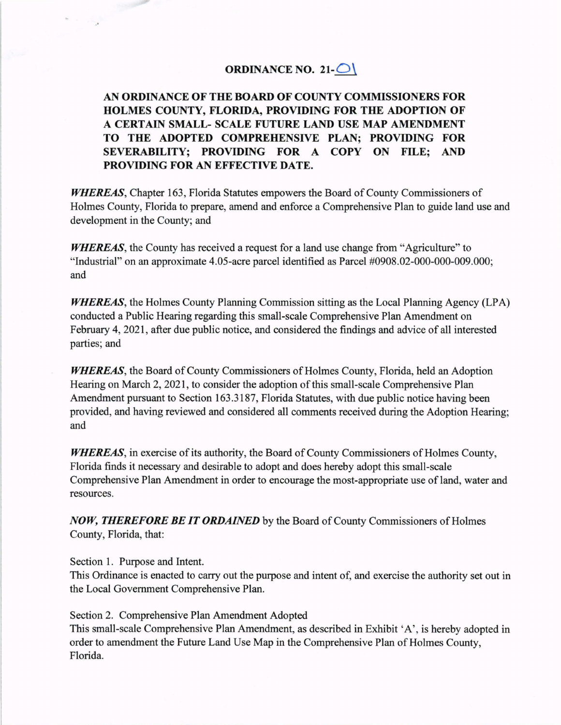## **ORDINANCE NO. 21-** $\bigcirc$

**AN ORDINANCE OF THE BOARD OF COUNTY COMMISSIONERS FOR HOLMES COUNTY, FLORIDA, PROVIDING FOR THE ADOPTION OF A CERTAIN SMALL- SCALE FUTURE LAND USE MAP AMENDMENT TO THE ADOPTED COMPREHENSIVE PLAN; PROVIDING FOR SEVERABILITY; PROVIDING FOR A COPY ON FILE; AND PROVIDING FOR AN EFFECTIVE DATE.** 

*WHEREAS,* Chapter 163, Florida Statutes empowers the Board of County Commissioners of Holmes County, Florida to prepare, amend and enforce a Comprehensive Plan to guide land use and development in the County; and

*WHEREAS*, the County has received a request for a land use change from "Agriculture" to "Industrial" on an approximate 4.05-acre parcel identified as Parcel #0908.02-000-000-009.000; and

*WHEREAS*, the Holmes County Planning Commission sitting as the Local Planning Agency (LPA) conducted a Public Hearing regarding this small-scale Comprehensive Plan Amendment on February 4, 2021 , after due public notice, and considered the findings and advice of all interested parties; and

*WHEREAS,* the Board of County Commissioners of Holmes County, Florida, held an Adoption Hearing on March 2, 2021, to consider the adoption of this small-scale Comprehensive Plan Amendment pursuant to Section 163 .3187, Florida Statutes, with due public notice having been provided, and having reviewed and considered all comments received during the Adoption Hearing; and

*WHEREAS,* in exercise of its authority, the Board of County Commissioners of Holmes County, Florida finds it necessary and desirable to adopt and does hereby adopt this small-scale Comprehensive Plan Amendment in order to encourage the most-appropriate use of land, water and resources.

*NOW, THEREFORE BE IT ORDAINED* by the Board of County Commissioners of Holmes County, Florida, that:

Section 1. Purpose and Intent.

This Ordinance is enacted to carry out the purpose and intent of, and exercise the authority set out in the Local Government Comprehensive Plan.

Section 2. Comprehensive Plan Amendment Adopted This small-scale Comprehensive Plan Amendment, as described in Exhibit 'A', is hereby adopted in order to amendment the Future Land Use Map in the Comprehensive Plan of Holmes County, Florida.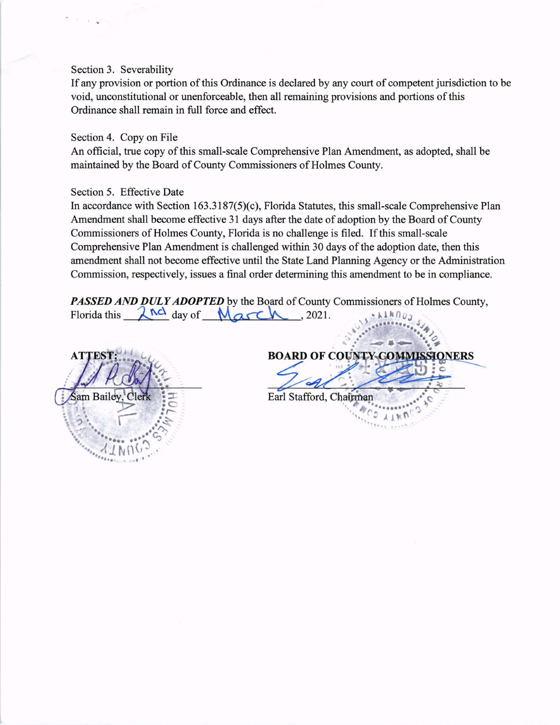## Section 3. Severability

If any provision or portion of this Ordinance is declared by any court of competent jurisdiction to be void, unconstitutional or unenforceable, then all remaining provisions and portions of this Ordinance shall remain in full force and effect.

## Section 4. Copy on File

An official, true copy of this small-scale Comprehensive Plan Amendment, as adopted, shall be maintained by the Board of County Commissioners of Holmes County.

## Section 5. Effective Date

In accordance with Section 163.3187(5)(c), Florida Statutes, this small-scale Comprehensive Plan Amendment shall become effective 31 days after the date of adoption by the Board of County Commissioners of Holmes County, Florida is no challenge is filed. If this small-scale Comprehensive Plan Amendment is challenged within 30 days of the adoption date, then this amendment shall not become effective until the State Land Planning Agency or the Administration Commission, respectively, issues a final order determining this amendment to be in compliance.

*PASSED AND DULY ADOPTED* by the Board of County Commissioners of Holmes County, Florida this **Arolenary Commission**, respectively, issues a final order determining this amendment to be in<br> **PASSED AND DULY ADOPTED** by the Board of County Commissioners of Holn<br>
Florida this <u>And day of Marchillery</u>, 20

**ATTES** am Bailey

**BOARD OF COUNTY COMMISSIONE** Earl Stafford, Chairman